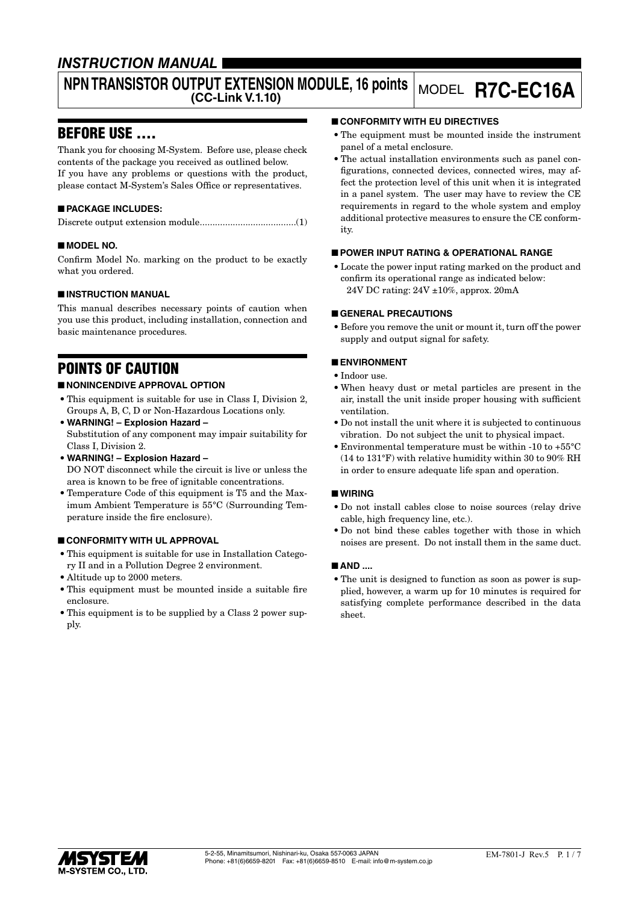# *INSTRUCTION MANUAL*

# **NPN TRANSISTOR OUTPUT EXTENSION MODULE, 16 points**

# **(CC-Link V.1.10)** MODEL **R7C-EC16A**

# BEFORE USE ....

Thank you for choosing M-System. Before use, please check contents of the package you received as outlined below. If you have any problems or questions with the product, please contact M-System's Sales Office or representatives.

# ■ **PACKAGE INCLUDES:**

Discrete output extension module......................................(1)

# ■ **MODEL NO.**

Confirm Model No. marking on the product to be exactly what you ordered.

# ■ **INSTRUCTION MANUAL**

This manual describes necessary points of caution when you use this product, including installation, connection and basic maintenance procedures.

# POINTS OF CAUTION

# ■ **NONINCENDIVE APPROVAL OPTION**

- This equipment is suitable for use in Class I, Division 2, Groups A, B, C, D or Non-Hazardous Locations only.
- **WARNING! Explosion Hazard –** Substitution of any component may impair suitability for Class I, Division 2.
- **WARNING! Explosion Hazard –** DO NOT disconnect while the circuit is live or unless the area is known to be free of ignitable concentrations.
- Temperature Code of this equipment is T5 and the Maximum Ambient Temperature is 55°C (Surrounding Temperature inside the fire enclosure).

### ■ **CONFORMITY WITH UL APPROVAL**

- This equipment is suitable for use in Installation Category II and in a Pollution Degree 2 environment.
- Altitude up to 2000 meters.
- This equipment must be mounted inside a suitable fire enclosure.
- This equipment is to be supplied by a Class 2 power supply.

### ■ **CONFORMITY WITH EU DIRECTIVES**

- The equipment must be mounted inside the instrument panel of a metal enclosure.
- The actual installation environments such as panel configurations, connected devices, connected wires, may affect the protection level of this unit when it is integrated in a panel system. The user may have to review the CE requirements in regard to the whole system and employ additional protective measures to ensure the CE conformity.

### ■ **POWER INPUT RATING & OPERATIONAL RANGE**

• Locate the power input rating marked on the product and confirm its operational range as indicated below: 24V DC rating: 24V ±10%, approx. 20mA

### ■ **GENERAL PRECAUTIONS**

• Before you remove the unit or mount it, turn off the power supply and output signal for safety.

# ■ **ENVIRONMENT**

- Indoor use.
- When heavy dust or metal particles are present in the air, install the unit inside proper housing with sufficient ventilation.
- Do not install the unit where it is subjected to continuous vibration. Do not subject the unit to physical impact.
- Environmental temperature must be within -10 to +55°C (14 to 131°F) with relative humidity within 30 to 90% RH in order to ensure adequate life span and operation.

### ■ **WIRING**

- Do not install cables close to noise sources (relay drive cable, high frequency line, etc.).
- Do not bind these cables together with those in which noises are present. Do not install them in the same duct.

### ■ **AND ....**

• The unit is designed to function as soon as power is supplied, however, a warm up for 10 minutes is required for satisfying complete performance described in the data sheet.

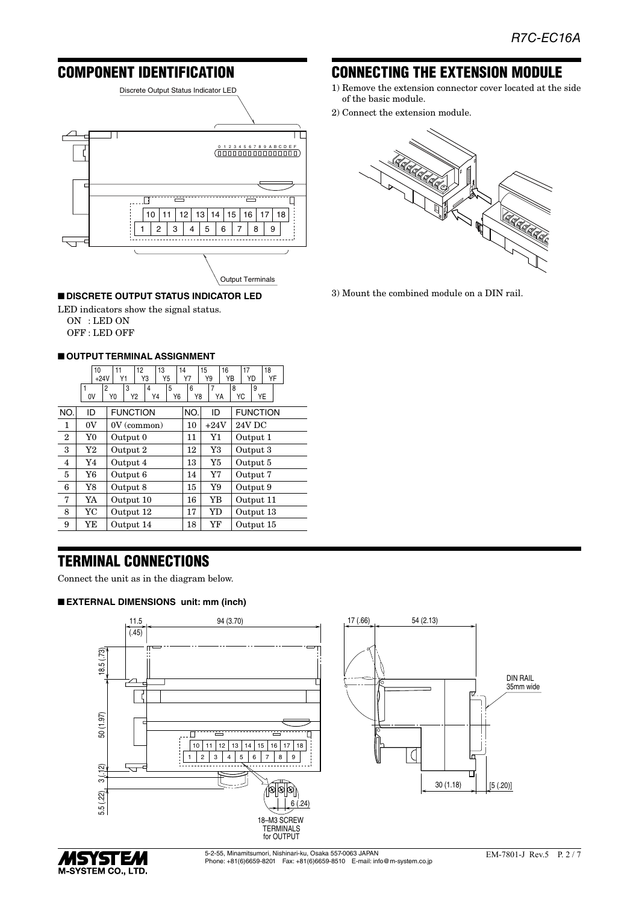# COMPONENT IDENTIFICATION



#### ■ **DISCRETE OUTPUT STATUS INDICATOR LED**

LED indicators show the signal status.

ON : LED ON OFF : LED OFF

#### ■ **OUTPUT TERMINAL ASSIGNMENT**

|                | 10<br>$+24V$ | 11<br>12<br>Y3<br>Y1                                         | 13<br>Y5      | 14<br>Y7 | 15<br>16<br>Y9       | 17<br>YB<br>YD     | 18<br>YF |
|----------------|--------------|--------------------------------------------------------------|---------------|----------|----------------------|--------------------|----------|
|                | 0V           | 3<br>$\overline{2}$<br>4<br>Y <sub>0</sub><br>Y <sub>2</sub> | 5<br>Y6<br>Y4 | 6<br>Y8  | $\overline{7}$<br>YA | 9<br>8<br>YC<br>YE |          |
| NO.            | ID           | <b>FUNCTION</b>                                              |               | NO.      | ID                   | <b>FUNCTION</b>    |          |
| 1              | 0V           | $0V$ (common)                                                |               | 10       | $+24V$               | <b>24V DC</b>      |          |
| $\overline{2}$ | Y0           | Output 0                                                     |               | 11       | Y1                   | Output 1           |          |
| 3              | Y2           | Output 2                                                     |               | 12       | Y3                   | Output 3           |          |
| 4              | Y4           | Output 4                                                     |               | 13       | Y5                   | Output 5           |          |
| 5              | Y6           | Output 6                                                     |               | 14       | Y7                   | Output 7           |          |
| 6              | Y8           | Output 8                                                     |               | 15       | Y9                   | Output 9           |          |
| 7              | YA           | Output 10                                                    |               | 16       | YΒ                   | Output 11          |          |
| 8              | YC           | Output 12                                                    |               | 17       | YD                   | Output 13          |          |
| 9              | YΕ           | Output 14                                                    |               | 18       | YF                   | Output 15          |          |

# TERMINAL CONNECTIONS

Connect the unit as in the diagram below.

#### ■ **EXTERNAL DIMENSIONS unit: mm (inch)**





5-2-55, Minamitsumori, Nishinari-ku, Osaka 557-0063 JAPAN Phone: +81(6)6659-8201 Fax: +81(6)6659-8510 E-mail: info@m-system.co.jp

# CONNECTING THE EXTENSION MODULE

- 1) Remove the extension connector cover located at the side of the basic module.
- 2) Connect the extension module.



3) Mount the combined module on a DIN rail.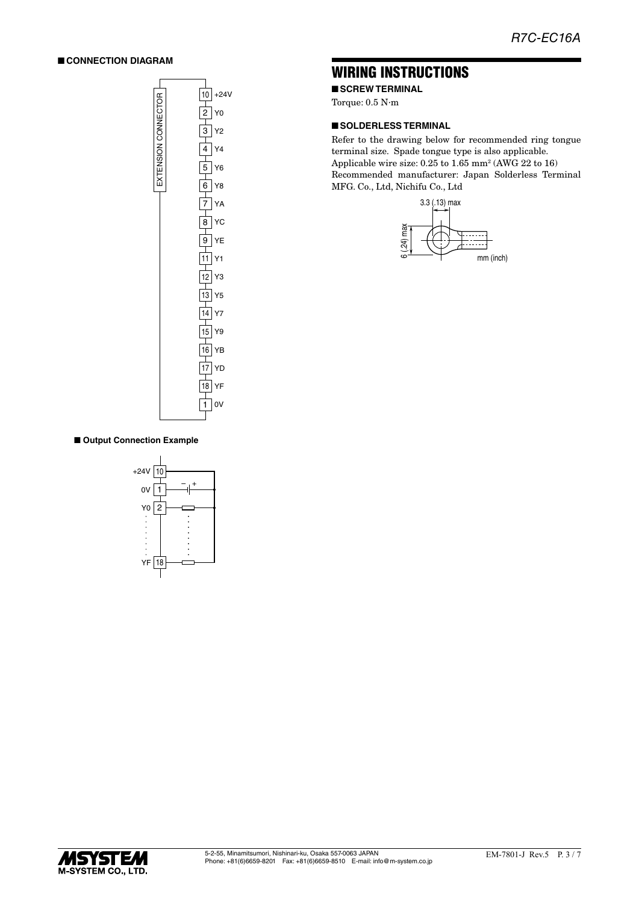#### ■ **CONNECTION DIAGRAM**



# WIRING INSTRUCTIONS

■ **SCREW TERMINAL** 

Torque: 0.5 N·m

#### ■ **SOLDERLESS TERMINAL**

Refer to the drawing below for recommended ring tongue terminal size. Spade tongue type is also applicable. Applicable wire size:  $0.25$  to  $1.65$  mm<sup>2</sup> (AWG 22 to 16) Recommended manufacturer: Japan Solderless Terminal MFG. Co., Ltd, Nichifu Co., Ltd



#### ■ Output Connection Example



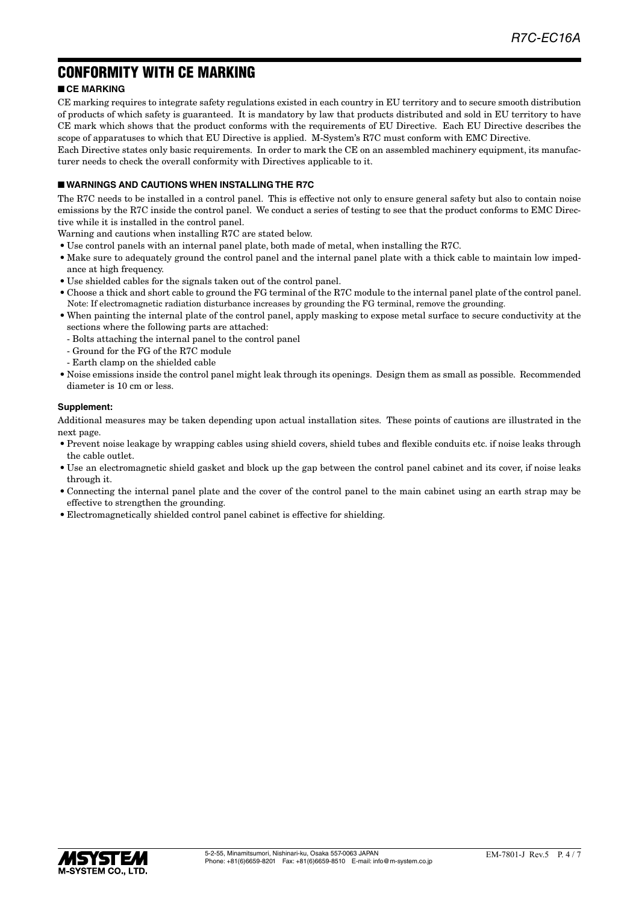# CONFORMITY WITH CE MARKING

### ■ **CE MARKING**

CE marking requires to integrate safety regulations existed in each country in EU territory and to secure smooth distribution of products of which safety is guaranteed. It is mandatory by law that products distributed and sold in EU territory to have CE mark which shows that the product conforms with the requirements of EU Directive. Each EU Directive describes the scope of apparatuses to which that EU Directive is applied. M-System's R7C must conform with EMC Directive.

Each Directive states only basic requirements. In order to mark the CE on an assembled machinery equipment, its manufacturer needs to check the overall conformity with Directives applicable to it.

#### ■ **WARNINGS AND CAUTIONS WHEN INSTALLING THE R7C**

The R7C needs to be installed in a control panel. This is effective not only to ensure general safety but also to contain noise emissions by the R7C inside the control panel. We conduct a series of testing to see that the product conforms to EMC Directive while it is installed in the control panel.

Warning and cautions when installing R7C are stated below.

- Use control panels with an internal panel plate, both made of metal, when installing the R7C.
- Make sure to adequately ground the control panel and the internal panel plate with a thick cable to maintain low impedance at high frequency.
- Use shielded cables for the signals taken out of the control panel.
- Choose a thick and short cable to ground the FG terminal of the R7C module to the internal panel plate of the control panel. Note: If electromagnetic radiation disturbance increases by grounding the FG terminal, remove the grounding.
- When painting the internal plate of the control panel, apply masking to expose metal surface to secure conductivity at the sections where the following parts are attached:
	- Bolts attaching the internal panel to the control panel
	- Ground for the FG of the R7C module
	- Earth clamp on the shielded cable
- Noise emissions inside the control panel might leak through its openings. Design them as small as possible. Recommended diameter is 10 cm or less.

#### **Supplement:**

Additional measures may be taken depending upon actual installation sites. These points of cautions are illustrated in the next page.

- Prevent noise leakage by wrapping cables using shield covers, shield tubes and flexible conduits etc. if noise leaks through the cable outlet.
- Use an electromagnetic shield gasket and block up the gap between the control panel cabinet and its cover, if noise leaks through it.
- Connecting the internal panel plate and the cover of the control panel to the main cabinet using an earth strap may be effective to strengthen the grounding.
- Electromagnetically shielded control panel cabinet is effective for shielding.

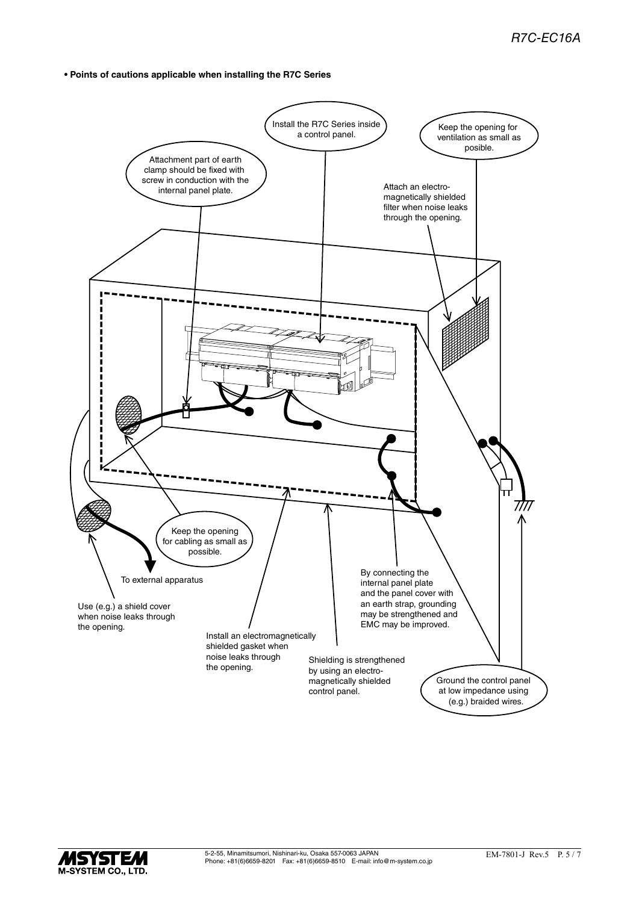**• Points of cautions applicable when installing the R7C Series**



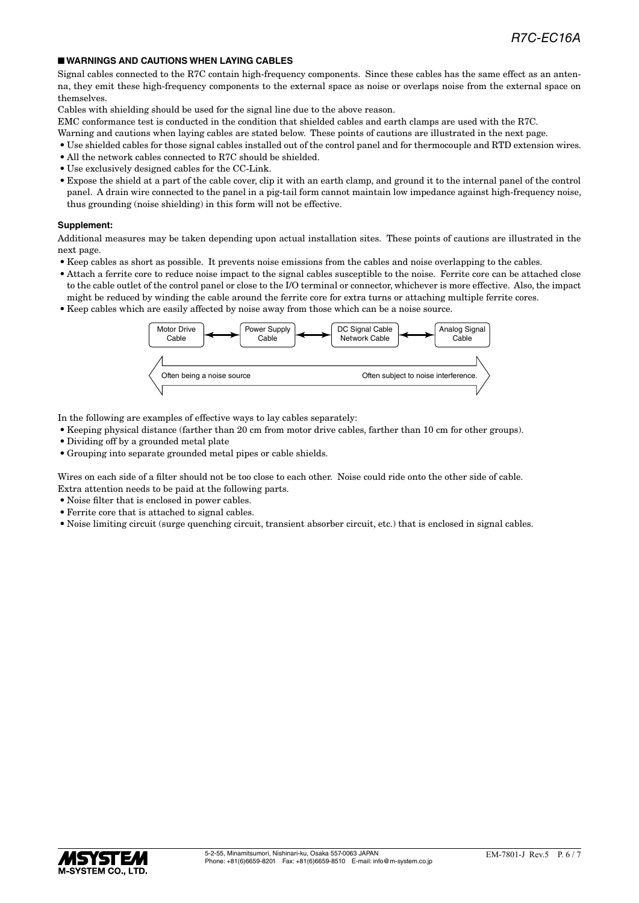#### ■ **WARNINGS AND CAUTIONS WHEN LAYING CABLES**

Signal cables connected to the R7C contain high-frequency components. Since these cables has the same effect as an antenna, they emit these high-frequency components to the external space as noise or overlaps noise from the external space on themselves.

Cables with shielding should be used for the signal line due to the above reason.

EMC conformance test is conducted in the condition that shielded cables and earth clamps are used with the R7C.

- Warning and cautions when laying cables are stated below. These points of cautions are illustrated in the next page.
- Use shielded cables for those signal cables installed out of the control panel and for thermocouple and RTD extension wires.
- All the network cables connected to R7C should be shielded.
- Use exclusively designed cables for the CC-Link.
- Expose the shield at a part of the cable cover, clip it with an earth clamp, and ground it to the internal panel of the control panel. A drain wire connected to the panel in a pig-tail form cannot maintain low impedance against high-frequency noise, thus grounding (noise shielding) in this form will not be effective.

#### **Supplement:**

Additional measures may be taken depending upon actual installation sites. These points of cautions are illustrated in the next page.

- Keep cables as short as possible. It prevents noise emissions from the cables and noise overlapping to the cables.
- Attach a ferrite core to reduce noise impact to the signal cables susceptible to the noise. Ferrite core can be attached close to the cable outlet of the control panel or close to the I/O terminal or connector, whichever is more effective. Also, the impact might be reduced by winding the cable around the ferrite core for extra turns or attaching multiple ferrite cores.
- Keep cables which are easily affected by noise away from those which can be a noise source.



In the following are examples of effective ways to lay cables separately:

- Keeping physical distance (farther than 20 cm from motor drive cables, farther than 10 cm for other groups).
- Dividing off by a grounded metal plate
- Grouping into separate grounded metal pipes or cable shields.

Wires on each side of a filter should not be too close to each other. Noise could ride onto the other side of cable. Extra attention needs to be paid at the following parts.

- Noise filter that is enclosed in power cables.
- Ferrite core that is attached to signal cables.
- Noise limiting circuit (surge quenching circuit, transient absorber circuit, etc.) that is enclosed in signal cables.